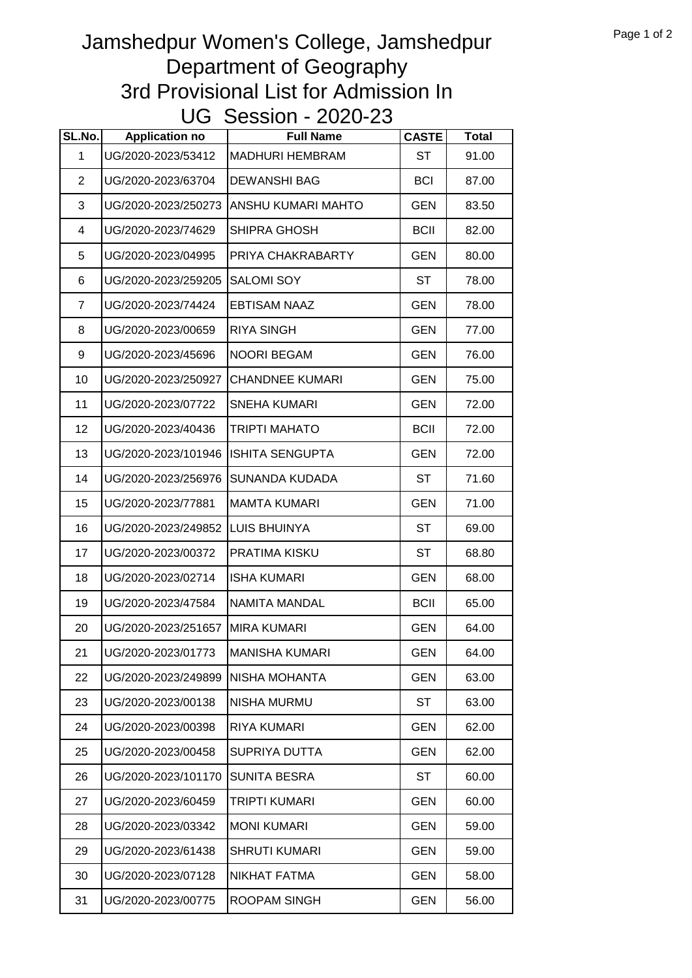## Jamshedpur Women's College, Jamshedpur Department of Geography 3rd Provisional List for Admission In UG Session - 2020-23

| SL.No.       | <b>Application no</b> | <b>Full Name</b>          | <b>CASTE</b> | <b>Total</b> |
|--------------|-----------------------|---------------------------|--------------|--------------|
| $\mathbf{1}$ | UG/2020-2023/53412    | <b>MADHURI HEMBRAM</b>    | <b>ST</b>    | 91.00        |
| 2            | UG/2020-2023/63704    | <b>DEWANSHI BAG</b>       | <b>BCI</b>   | 87.00        |
| 3            | UG/2020-2023/250273   | <b>ANSHU KUMARI MAHTO</b> | <b>GEN</b>   | 83.50        |
| 4            | UG/2020-2023/74629    | SHIPRA GHOSH              | <b>BCII</b>  | 82.00        |
| 5            | UG/2020-2023/04995    | PRIYA CHAKRABARTY         | <b>GEN</b>   | 80.00        |
| 6            | UG/2020-2023/259205   | <b>SALOMI SOY</b>         | <b>ST</b>    | 78.00        |
| 7            | UG/2020-2023/74424    | <b>EBTISAM NAAZ</b>       | <b>GEN</b>   | 78.00        |
| 8            | UG/2020-2023/00659    | <b>RIYA SINGH</b>         | <b>GEN</b>   | 77.00        |
| 9            | UG/2020-2023/45696    | <b>NOORI BEGAM</b>        | <b>GEN</b>   | 76.00        |
| 10           | UG/2020-2023/250927   | <b>CHANDNEE KUMARI</b>    | <b>GEN</b>   | 75.00        |
| 11           | UG/2020-2023/07722    | <b>SNEHA KUMARI</b>       | <b>GEN</b>   | 72.00        |
| 12           | UG/2020-2023/40436    | <b>TRIPTI MAHATO</b>      | <b>BCII</b>  | 72.00        |
| 13           | UG/2020-2023/101946   | ISHITA SENGUPTA           | <b>GEN</b>   | 72.00        |
| 14           | UG/2020-2023/256976   | <b>SUNANDA KUDADA</b>     | <b>ST</b>    | 71.60        |
| 15           | UG/2020-2023/77881    | <b>MAMTA KUMARI</b>       | <b>GEN</b>   | 71.00        |
| 16           | UG/2020-2023/249852   | <b>LUIS BHUINYA</b>       | <b>ST</b>    | 69.00        |
| 17           | UG/2020-2023/00372    | PRATIMA KISKU             | <b>ST</b>    | 68.80        |
| 18           | UG/2020-2023/02714    | <b>ISHA KUMARI</b>        | <b>GEN</b>   | 68.00        |
| 19           | UG/2020-2023/47584    | NAMITA MANDAL             | <b>BCII</b>  | 65.00        |
| 20           | UG/2020-2023/251657   | <b>MIRA KUMARI</b>        | <b>GEN</b>   | 64.00        |
| 21           | UG/2020-2023/01773    | <b>MANISHA KUMARI</b>     | <b>GEN</b>   | 64.00        |
| 22           | UG/2020-2023/249899   | NISHA MOHANTA             | GEN          | 63.00        |
| 23           | UG/2020-2023/00138    | NISHA MURMU               | <b>ST</b>    | 63.00        |
| 24           | UG/2020-2023/00398    | <b>RIYA KUMARI</b>        | <b>GEN</b>   | 62.00        |
| 25           | UG/2020-2023/00458    | SUPRIYA DUTTA             | <b>GEN</b>   | 62.00        |
| 26           | UG/2020-2023/101170   | <b>SUNITA BESRA</b>       | <b>ST</b>    | 60.00        |
| 27           | UG/2020-2023/60459    | TRIPTI KUMARI             | <b>GEN</b>   | 60.00        |
| 28           | UG/2020-2023/03342    | <b>MONI KUMARI</b>        | <b>GEN</b>   | 59.00        |
| 29           | UG/2020-2023/61438    | <b>SHRUTI KUMARI</b>      | <b>GEN</b>   | 59.00        |
| 30           | UG/2020-2023/07128    | NIKHAT FATMA              | <b>GEN</b>   | 58.00        |
| 31           | UG/2020-2023/00775    | ROOPAM SINGH              | <b>GEN</b>   | 56.00        |